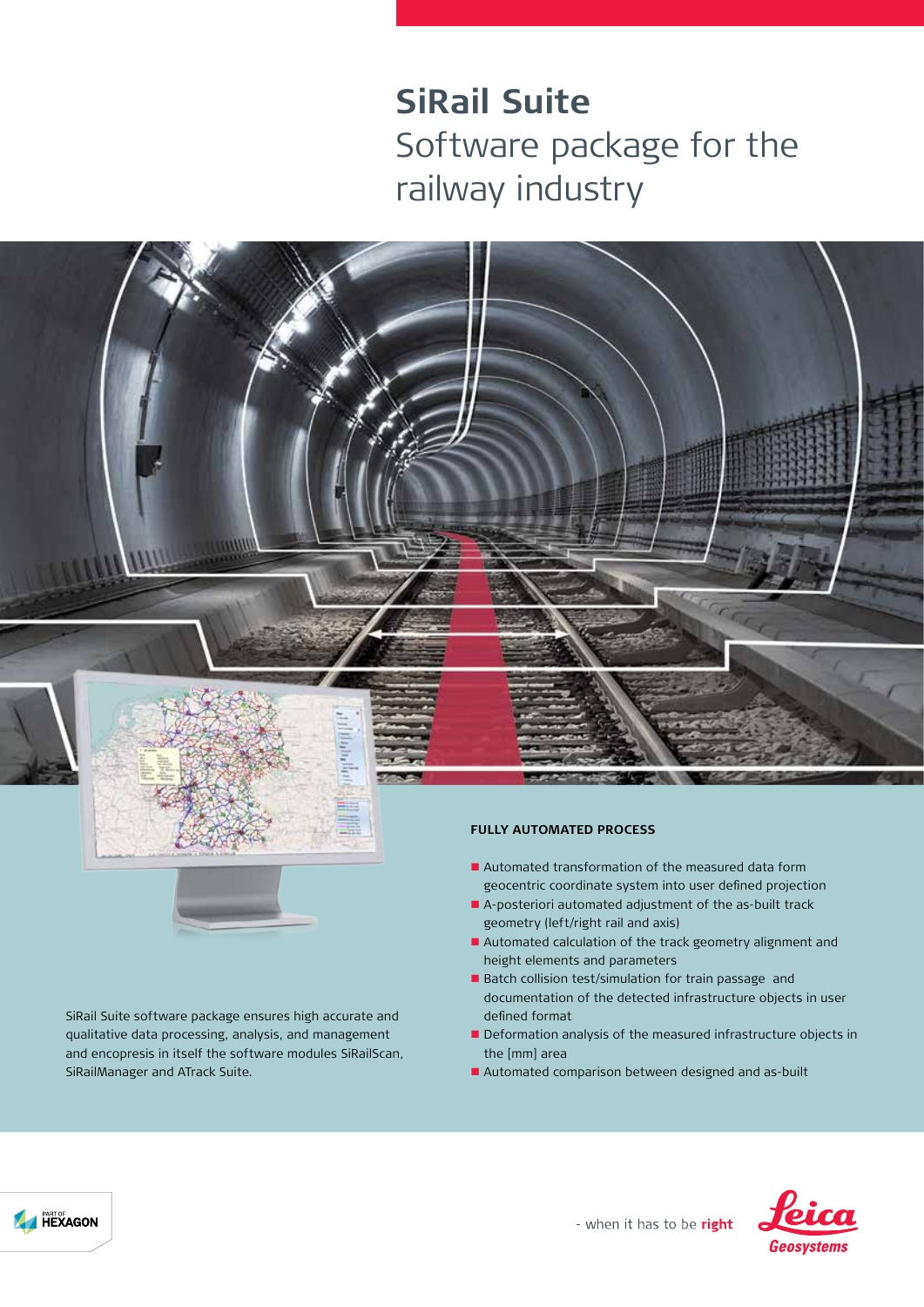# **SiRail Suite**  Software package for the railway industry





SiRail Suite software package ensures high accurate and qualitative data processing, analysis, and management and encopresis in itself the software modules SiRailScan, SiRailManager and ATrack Suite.

#### **FULLY AUTOMATED PROCESS**

- Automated transformation of the measured data form geocentric coordinate system into user defined projection
- n A-posteriori automated adjustment of the as-built track geometry (left/right rail and axis)
- Automated calculation of the track geometry alignment and height elements and parameters
- Batch collision test/simulation for train passage and documentation of the detected infrastructure objects in user defined format
- **n** Deformation analysis of the measured infrastructure objects in the [mm] area
- Automated comparison between designed and as-built



- when it has to be right